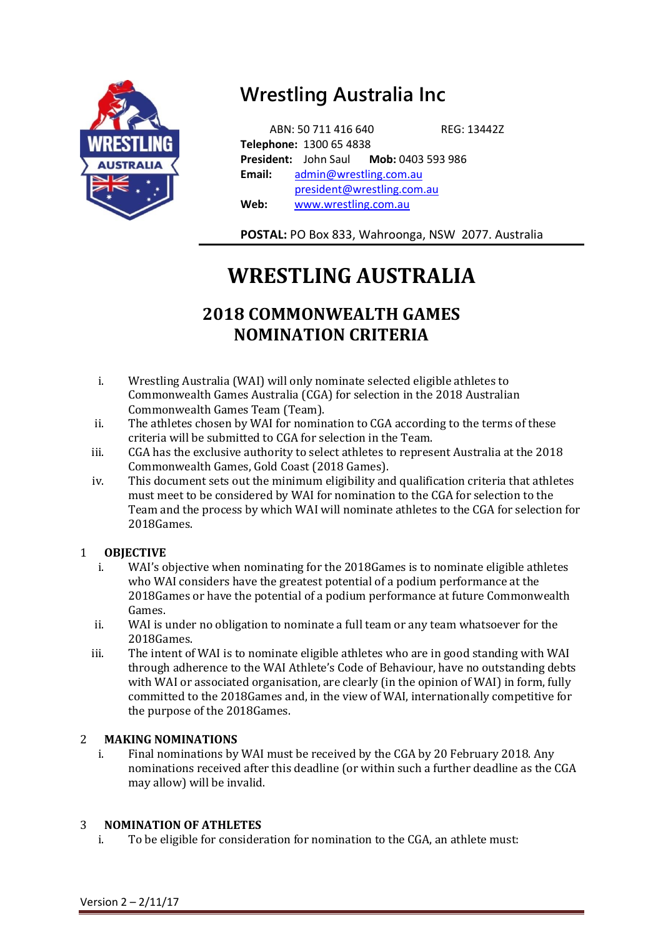

## **Wrestling Australia Inc**

 ABN: 50 711 416 640 REG: 13442Z **Telephone:** 1300 65 4838 **President:** John Saul **Mob:** 0403 593 986 **Email:** [admin@wrestling.com.au](mailto:admin@wrestling.com.au) [president@wrestling.com.au](mailto:president@wrestling.com.au) **Web:** [www.wrestling.com.au](http://www.wrestling.com.au/) 

**POSTAL:** PO Box 833, Wahroonga, NSW 2077. Australia

# **WRESTLING AUSTRALIA**

### **2018 COMMONWEALTH GAMES NOMINATION CRITERIA**

- i. Wrestling Australia (WAI) will only nominate selected eligible athletes to Commonwealth Games Australia (CGA) for selection in the 2018 Australian Commonwealth Games Team (Team).
- ii. The athletes chosen by WAI for nomination to CGA according to the terms of these criteria will be submitted to CGA for selection in the Team.
- iii. CGA has the exclusive authority to select athletes to represent Australia at the 2018 Commonwealth Games, Gold Coast (2018 Games).
- iv. This document sets out the minimum eligibility and qualification criteria that athletes must meet to be considered by WAI for nomination to the CGA for selection to the Team and the process by which WAI will nominate athletes to the CGA for selection for 2018Games.

#### 1 **OBJECTIVE**

- i. WAI's objective when nominating for the 2018Games is to nominate eligible athletes who WAI considers have the greatest potential of a podium performance at the 2018Games or have the potential of a podium performance at future Commonwealth Games.
- ii. WAI is under no obligation to nominate a full team or any team whatsoever for the 2018Games.
- iii. The intent of WAI is to nominate eligible athletes who are in good standing with WAI through adherence to the WAI Athlete's Code of Behaviour, have no outstanding debts with WAI or associated organisation, are clearly (in the opinion of WAI) in form, fully committed to the 2018Games and, in the view of WAI, internationally competitive for the purpose of the 2018Games.

#### 2 **MAKING NOMINATIONS**

i. Final nominations by WAI must be received by the CGA by 20 February 2018. Any nominations received after this deadline (or within such a further deadline as the CGA may allow) will be invalid.

#### 3 **NOMINATION OF ATHLETES**

i. To be eligible for consideration for nomination to the CGA, an athlete must: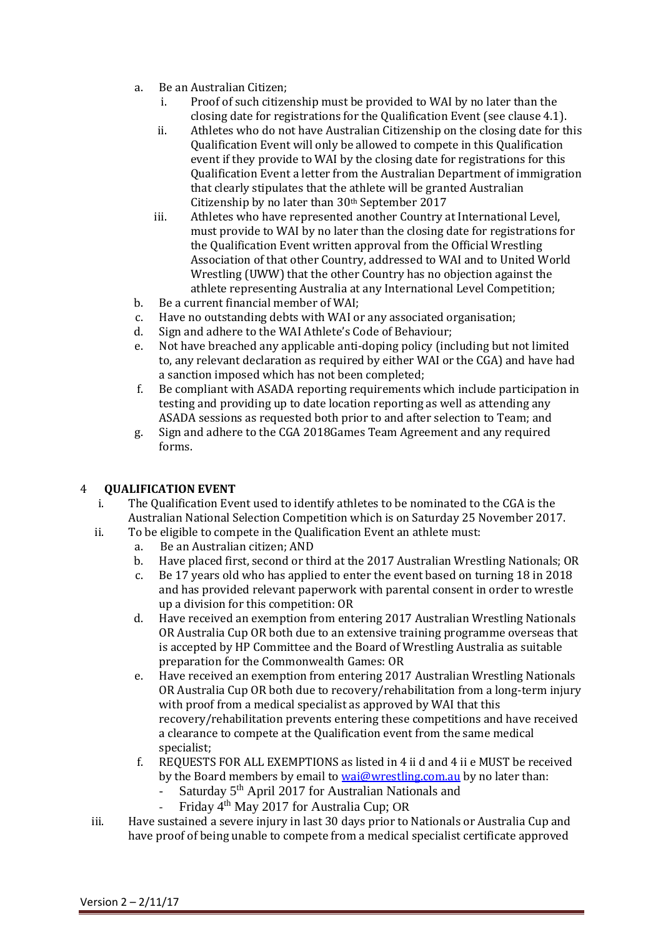- a. Be an Australian Citizen;
	- i. Proof of such citizenship must be provided to WAI by no later than the closing date for registrations for the Qualification Event (see clause 4.1).
	- ii. Athletes who do not have Australian Citizenship on the closing date for this Qualification Event will only be allowed to compete in this Qualification event if they provide to WAI by the closing date for registrations for this Qualification Event a letter from the Australian Department of immigration that clearly stipulates that the athlete will be granted Australian Citizenship by no later than 30th September 2017
	- iii. Athletes who have represented another Country at International Level, must provide to WAI by no later than the closing date for registrations for the Qualification Event written approval from the Official Wrestling Association of that other Country, addressed to WAI and to United World Wrestling (UWW) that the other Country has no objection against the athlete representing Australia at any International Level Competition;
- b. Be a current financial member of WAI;
- c. Have no outstanding debts with WAI or any associated organisation;
- d. Sign and adhere to the WAI Athlete's Code of Behaviour;
- e. Not have breached any applicable anti-doping policy (including but not limited to, any relevant declaration as required by either WAI or the CGA) and have had a sanction imposed which has not been completed;
- f. Be compliant with ASADA reporting requirements which include participation in testing and providing up to date location reporting as well as attending any ASADA sessions as requested both prior to and after selection to Team; and
- g. Sign and adhere to the CGA 2018Games Team Agreement and any required forms.

#### 4 **QUALIFICATION EVENT**

- i. The Qualification Event used to identify athletes to be nominated to the CGA is the Australian National Selection Competition which is on Saturday 25 November 2017.
- ii. To be eligible to compete in the Qualification Event an athlete must:
	- a. Be an Australian citizen; AND
	- b. Have placed first, second or third at the 2017 Australian Wrestling Nationals; OR
	- c. Be 17 years old who has applied to enter the event based on turning 18 in 2018 and has provided relevant paperwork with parental consent in order to wrestle up a division for this competition: OR
	- d. Have received an exemption from entering 2017 Australian Wrestling Nationals OR Australia Cup OR both due to an extensive training programme overseas that is accepted by HP Committee and the Board of Wrestling Australia as suitable preparation for the Commonwealth Games: OR
	- e. Have received an exemption from entering 2017 Australian Wrestling Nationals OR Australia Cup OR both due to recovery/rehabilitation from a long-term injury with proof from a medical specialist as approved by WAI that this recovery/rehabilitation prevents entering these competitions and have received a clearance to compete at the Qualification event from the same medical specialist;
	- f. REQUESTS FOR ALL EXEMPTIONS as listed in 4 ii d and 4 ii e MUST be received by the Board members by email t[o wai@wrestling.com.au](mailto:wai@wrestling.com.au) by no later than:
		- Saturday  $5^{th}$  April 2017 for Australian Nationals and<br>- Friday  $4^{th}$  May 2017 for Australia Cup: OR
			- Friday 4th May 2017 for Australia Cup; OR
- iii. Have sustained a severe injury in last 30 days prior to Nationals or Australia Cup and have proof of being unable to compete from a medical specialist certificate approved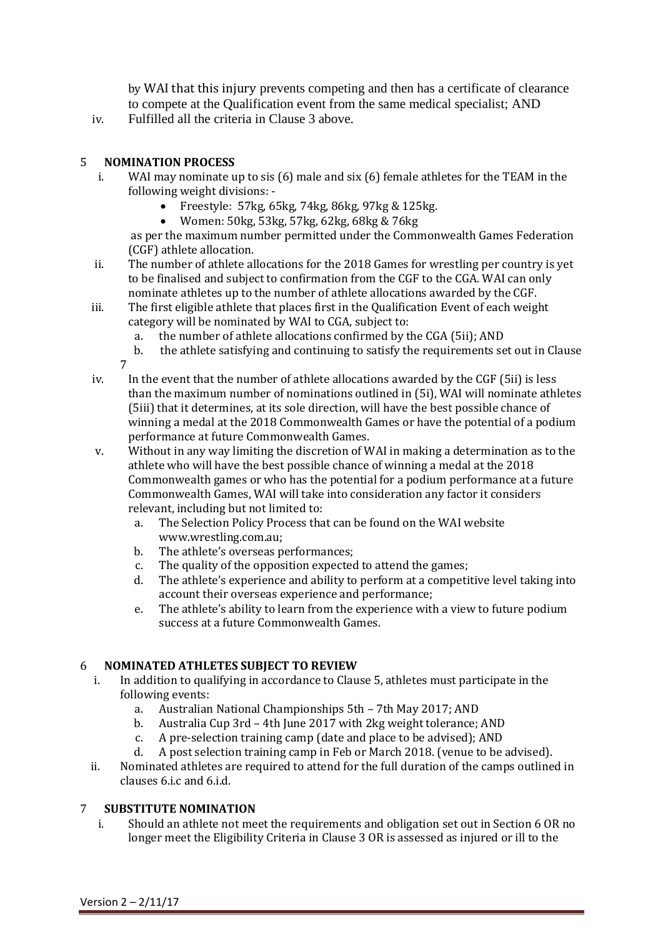by WAI that this injury prevents competing and then has a certificate of clearance to compete at the Qualification event from the same medical specialist; AND

iv. Fulfilled all the criteria in Clause 3 above.

#### 5 **NOMINATION PROCESS**

- i. WAI may nominate up to sis (6) male and six (6) female athletes for the TEAM in the following weight divisions: -
	- Freestyle: 57kg, 65kg, 74kg, 86kg, 97kg & 125kg.
	- Women: 50kg, 53kg, 57kg, 62kg, 68kg & 76kg

as per the maximum number permitted under the Commonwealth Games Federation (CGF) athlete allocation.

- ii. The number of athlete allocations for the 2018 Games for wrestling per country is yet to be finalised and subject to confirmation from the CGF to the CGA. WAI can only nominate athletes up to the number of athlete allocations awarded by the CGF.
- iii. The first eligible athlete that places first in the Qualification Event of each weight category will be nominated by WAI to CGA, subject to:
	- a. the number of athlete allocations confirmed by the CGA (5ii); AND
	- b. the athlete satisfying and continuing to satisfy the requirements set out in Clause 7
- iv. In the event that the number of athlete allocations awarded by the CGF (5ii) is less than the maximum number of nominations outlined in (5i), WAI will nominate athletes (5iii) that it determines, at its sole direction, will have the best possible chance of winning a medal at the 2018 Commonwealth Games or have the potential of a podium performance at future Commonwealth Games.
- v. Without in any way limiting the discretion of WAI in making a determination as to the athlete who will have the best possible chance of winning a medal at the 2018 Commonwealth games or who has the potential for a podium performance at a future Commonwealth Games, WAI will take into consideration any factor it considers relevant, including but not limited to:
	- a. The Selection Policy Process that can be found on the WAI website [www.wrestling.com.au;](http://www.wrestling.com.au/)
	- b. The athlete's overseas performances;
	- c. The quality of the opposition expected to attend the games;
	- d. The athlete's experience and ability to perform at a competitive level taking into account their overseas experience and performance;
	- e. The athlete's ability to learn from the experience with a view to future podium success at a future Commonwealth Games.

#### 6 **NOMINATED ATHLETES SUBJECT TO REVIEW**

- i. In addition to qualifying in accordance to Clause 5, athletes must participate in the following events:
	- a. Australian National Championships 5th 7th May 2017; AND
	- b. Australia Cup 3rd 4th June 2017 with 2kg weight tolerance; AND
	- c. A pre-selection training camp (date and place to be advised); AND
	- d. A post selection training camp in Feb or March 2018. (venue to be advised).
- ii. Nominated athletes are required to attend for the full duration of the camps outlined in clauses 6.i.c and 6.i.d.

#### 7 **SUBSTITUTE NOMINATION**

i. Should an athlete not meet the requirements and obligation set out in Section 6 OR no longer meet the Eligibility Criteria in Clause 3 OR is assessed as injured or ill to the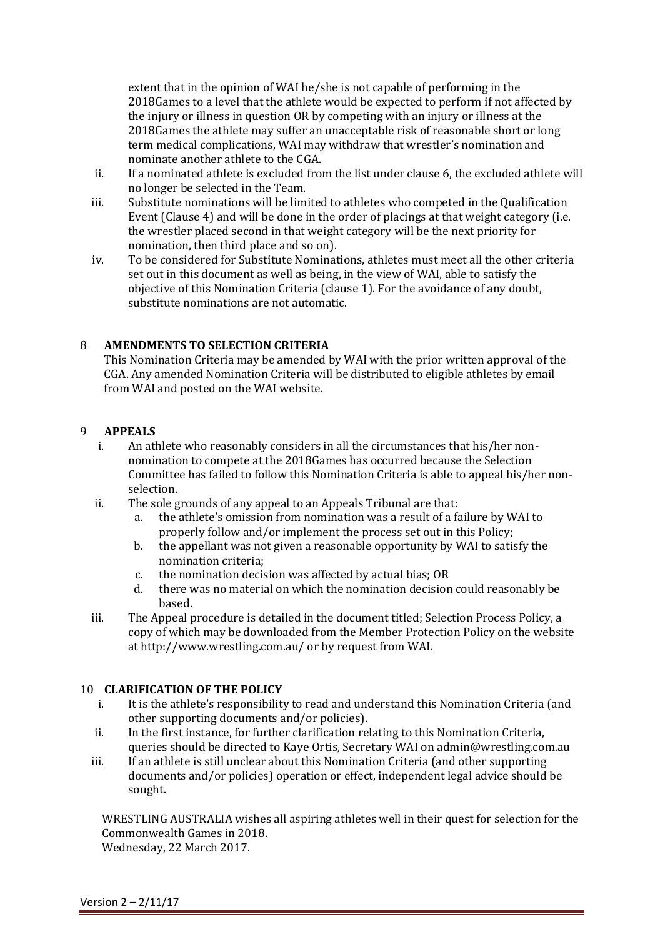extent that in the opinion of WAI he/she is not capable of performing in the 2018Games to a level that the athlete would be expected to perform if not affected by the injury or illness in question OR by competing with an injury or illness at the 2018Games the athlete may suffer an unacceptable risk of reasonable short or long term medical complications, WAI may withdraw that wrestler's nomination and nominate another athlete to the CGA.

- ii. If a nominated athlete is excluded from the list under clause 6, the excluded athlete will no longer be selected in the Team.
- iii. Substitute nominations will be limited to athletes who competed in the Qualification Event (Clause 4) and will be done in the order of placings at that weight category (i.e. the wrestler placed second in that weight category will be the next priority for nomination, then third place and so on).
- iv. To be considered for Substitute Nominations, athletes must meet all the other criteria set out in this document as well as being, in the view of WAI, able to satisfy the objective of this Nomination Criteria (clause 1). For the avoidance of any doubt, substitute nominations are not automatic.

#### 8 **AMENDMENTS TO SELECTION CRITERIA**

This Nomination Criteria may be amended by WAI with the prior written approval of the CGA. Any amended Nomination Criteria will be distributed to eligible athletes by email from WAI and posted on the WAI website.

#### 9 **APPEALS**

- i. An athlete who reasonably considers in all the circumstances that his/her nonnomination to compete at the 2018Games has occurred because the Selection Committee has failed to follow this Nomination Criteria is able to appeal his/her nonselection.
- ii. The sole grounds of any appeal to an Appeals Tribunal are that:
	- a. the athlete's omission from nomination was a result of a failure by WAI to properly follow and/or implement the process set out in this Policy;
	- b. the appellant was not given a reasonable opportunity by WAI to satisfy the nomination criteria;
	- c. the nomination decision was affected by actual bias; OR
	- d. there was no material on which the nomination decision could reasonably be based.
- iii. The Appeal procedure is detailed in the document titled; Selection Process Policy, a copy of which may be downloaded from the Member Protection Policy on the website at http://www.wrestling.com.au/ or by request from WAI.

#### 10 **CLARIFICATION OF THE POLICY**

- i. It is the athlete's responsibility to read and understand this Nomination Criteria (and other supporting documents and/or policies).
- ii. In the first instance, for further clarification relating to this Nomination Criteria, queries should be directed to Kaye Ortis, Secretary WAI on admin@wrestling.com.au
- iii. If an athlete is still unclear about this Nomination Criteria (and other supporting documents and/or policies) operation or effect, independent legal advice should be sought.

WRESTLING AUSTRALIA wishes all aspiring athletes well in their quest for selection for the Commonwealth Games in 2018. Wednesday, 22 March 2017.